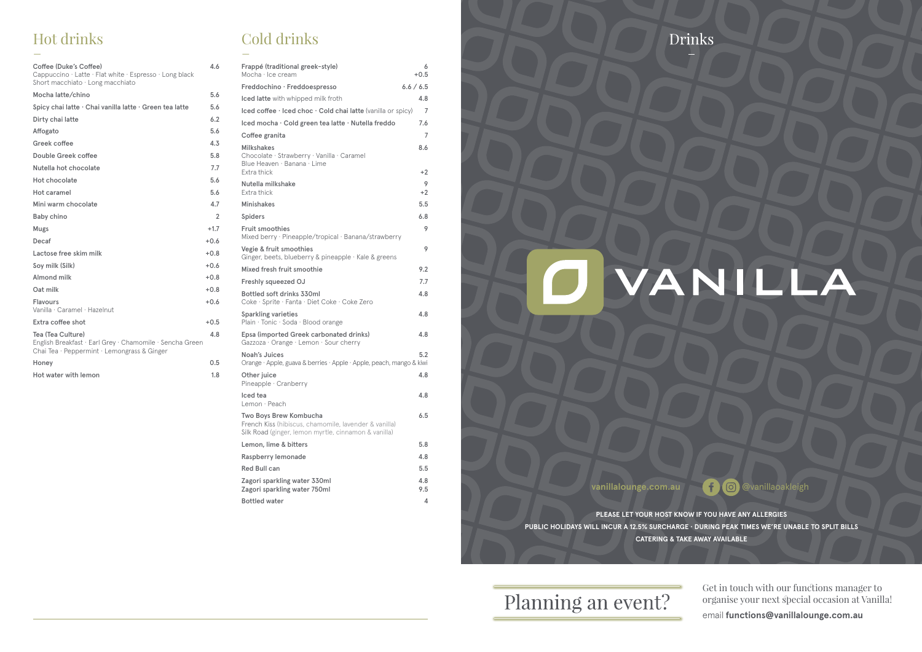**PLEASE LET YOUR HOST KNOW IF YOU HAVE ANY ALLERGIES PUBLIC HOLIDAYS WILL INCUR A 12.5% SURCHARGE · DURING PEAK TIMES WE'RE UNABLE TO SPLIT BILLS CATERING & TAKE AWAY AVAILABLE**

Planning an event?

# **O VANILLA**

vanillalounge.com.au **600** @vanillaoakleigh

Get in touch with our functions manager to organise your next special occasion at Vanilla! email **functions@vanillalounge.com.au**

# Hot drinks \_

# Cold drinks  $\overline{a}$

| Coffee (Duke's Coffee)<br>Cappuccino · Latte · Flat white · Espresso · Long black<br>Short macchiato $\cdot$ Long macchiato  | 4.6            |
|------------------------------------------------------------------------------------------------------------------------------|----------------|
| Mocha latte/chino                                                                                                            | 5.6            |
| Spicy chai latte · Chai vanilla latte · Green tea latte                                                                      | 5.6            |
| Dirty chai latte                                                                                                             | 6.2            |
| Affogato                                                                                                                     | 5.6            |
| Greek coffee                                                                                                                 | 4.3            |
| Double Greek coffee                                                                                                          | 5.8            |
| Nutella hot chocolate                                                                                                        | 7.7            |
| Hot chocolate                                                                                                                | 5.6            |
| Hot caramel                                                                                                                  | 5.6            |
| Mini warm chocolate                                                                                                          | 4.7            |
| <b>Baby chino</b>                                                                                                            | $\overline{2}$ |
| Mugs                                                                                                                         | $+1.7$         |
| Decaf                                                                                                                        | $+0.6$         |
| Lactose free skim milk                                                                                                       | $+0.8$         |
| Soy milk (Silk)                                                                                                              | $+0.6$         |
| Almond milk                                                                                                                  | $+0.8$         |
| Oat milk                                                                                                                     | $+0.8$         |
| <b>Flavours</b><br>Vanilla · Caramel · Hazelnut                                                                              | $+0.6$         |
| Extra coffee shot                                                                                                            | $+0.5$         |
| Tea (Tea Culture)<br>English Breakfast · Earl Grey · Chamomile · Sencha Green<br>Chai Tea · Peppermint · Lemongrass & Ginger | 4.8            |
| Honey                                                                                                                        | 0.5            |
| Hot water with lemon                                                                                                         | 1.8            |

| Frappé (traditional greek-style)<br>Mocha · Ice cream                                                                                   | 6<br>$+0.5$ |
|-----------------------------------------------------------------------------------------------------------------------------------------|-------------|
| Freddochino · Freddoespresso                                                                                                            | 6.6 / 6.5   |
| Iced latte with whipped milk froth                                                                                                      | 4.8         |
| Iced coffee · Iced choc · Cold chai latte (vanilla or spicy)                                                                            | 7           |
| Iced mocha · Cold green tea latte · Nutella freddo                                                                                      | 7.6         |
| Coffee granita                                                                                                                          | 7           |
| <b>Milkshakes</b><br>Chocolate · Strawberry · Vanilla · Caramel<br>Blue Heaven · Banana · Lime<br>Extra thick                           | 8.6<br>$+2$ |
| Nutella milkshake<br>Extra thick                                                                                                        | 9<br>$+2$   |
| <b>Minishakes</b>                                                                                                                       | 5.5         |
| <b>Spiders</b>                                                                                                                          | 6.8         |
| <b>Fruit smoothies</b><br>Mixed berry · Pineapple/tropical · Banana/strawberry                                                          | 9           |
| Vegie & fruit smoothies<br>Ginger, beets, blueberry & pineapple · Kale & greens                                                         | 9           |
| Mixed fresh fruit smoothie                                                                                                              | 9.2         |
| <b>Freshly squeezed OJ</b>                                                                                                              | 7.7         |
| Bottled soft drinks 330ml<br>Coke · Sprite · Fanta · Diet Coke · Coke Zero                                                              | 4.8         |
| <b>Sparkling varieties</b><br>Plain · Tonic · Soda · Blood orange                                                                       | 4.8         |
| Epsa (imported Greek carbonated drinks)<br>Gazzoza · Orange · Lemon · Sour cherry                                                       | 4.8         |
| Noah's Juices<br>Orange · Apple, guava & berries · Apple · Apple, peach, mango & kiwi                                                   | 5.2         |
| Other juice<br>Pineapple · Cranberry                                                                                                    | 4.8         |
| Iced tea<br>Lemon · Peach                                                                                                               | 4.8         |
| Two Boys Brew Kombucha<br>French Kiss (hibiscus, chamomile, lavender & vanilla)<br>Silk Road (ginger, lemon myrtle, cinnamon & vanilla) | 6.5         |
| Lemon, lime & bitters                                                                                                                   | 5.8         |
| Raspberry lemonade                                                                                                                      | 4.8         |
| <b>Red Bull can</b>                                                                                                                     | 5.5         |
| Zagori sparkling water 330ml<br>Zagori sparkling water 750ml                                                                            | 4.8<br>9.5  |
| <b>Bottled water</b>                                                                                                                    | 4           |

Drinks